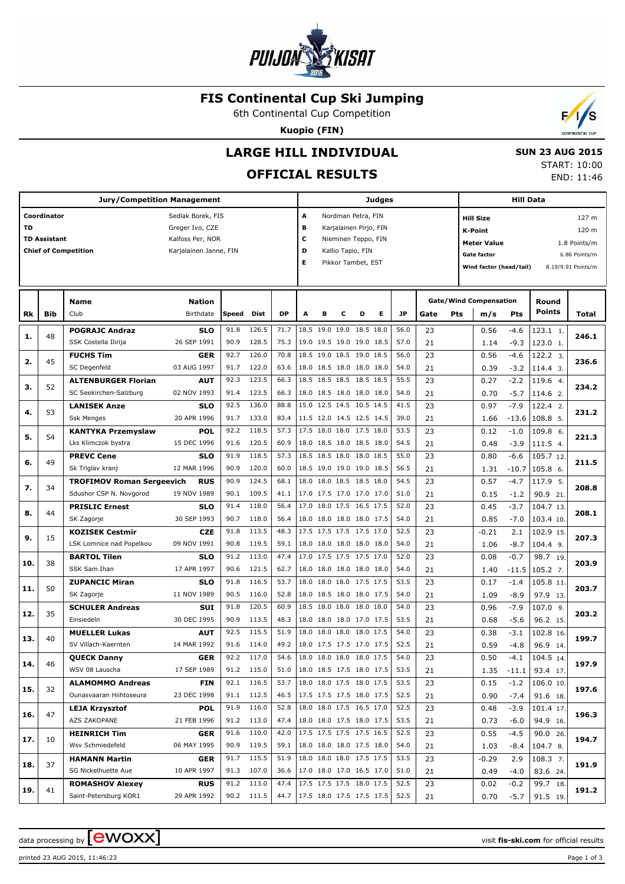

#### **FIS Continental Cup Ski Jumping**

6th Continental Cup Competition

**Kuopio (FIN)**



# **LARGE HILL INDIVIDUAL**

### **OFFICIAL RESULTS**

Τ

|           |                                             | Jury/Competition Management      |                        |                                                                                                                                                  |            |                                 |   |                     |                          |            | Judges |           |      |     |                                    | <b>Hill Data</b> |                    |                    |
|-----------|---------------------------------------------|----------------------------------|------------------------|--------------------------------------------------------------------------------------------------------------------------------------------------|------------|---------------------------------|---|---------------------|--------------------------|------------|--------|-----------|------|-----|------------------------------------|------------------|--------------------|--------------------|
|           | Coordinator                                 |                                  | Sedlak Borek, FIS      |                                                                                                                                                  |            |                                 | А |                     | Nordman Petra, FIN       |            |        |           |      |     | <b>Hill Size</b>                   |                  |                    | 127 m              |
| <b>TD</b> |                                             |                                  | Greger Ivo, CZE        |                                                                                                                                                  |            |                                 | в |                     | Karjalainen Pirjo, FIN   |            |        |           |      |     | <b>K-Point</b>                     |                  |                    | 120 m              |
|           | <b>TD Assistant</b>                         |                                  | Kalfoss Per, NOR       |                                                                                                                                                  |            |                                 | c | Nieminen Teppo, FIN |                          |            |        |           |      |     | 1.8 Points/m<br><b>Meter Value</b> |                  |                    |                    |
|           |                                             | <b>Chief of Competition</b>      | Karjalainen Janne, FIN |                                                                                                                                                  |            |                                 | D |                     | Kallio Tapio, FIN        |            |        |           |      |     | <b>Gate factor</b>                 |                  |                    | 6.86 Points/m      |
|           |                                             |                                  |                        |                                                                                                                                                  |            |                                 | Е |                     | Pikkor Tambet, EST       |            |        |           |      |     | Wind factor (head/tail)            |                  |                    | 8.19/9.91 Points/m |
|           |                                             |                                  |                        |                                                                                                                                                  |            |                                 |   |                     |                          |            |        |           |      |     |                                    |                  |                    |                    |
|           |                                             |                                  |                        |                                                                                                                                                  |            |                                 |   |                     |                          |            |        |           |      |     |                                    |                  |                    |                    |
|           |                                             | Name                             | <b>Nation</b>          |                                                                                                                                                  |            |                                 |   |                     |                          |            |        |           |      |     | <b>Gate/Wind Compensation</b>      |                  | Round              |                    |
| Rk        | Bib                                         | Club                             | Birthdate              | Speed                                                                                                                                            | Dist       | <b>DP</b>                       | A | в                   | с                        | D          | Е      | <b>JP</b> | Gate | Pts | m/s                                | <b>Pts</b>       | <b>Points</b>      | Total              |
| 1.        | 48                                          | <b>POGRAJC Andraz</b>            | <b>SLO</b>             | 91.8                                                                                                                                             | 126.5      | 71.7                            |   |                     | 18.5 19.0 19.0 18.5 18.0 |            |        | 56.0      | 23   |     | 0.56                               | $-4.6$           | 123.1 1.           | 246.1              |
|           |                                             | SSK Costella Ilirija             | 26 SEP 1991            | 90.9                                                                                                                                             | 128.5      | 75.3                            |   |                     | 19.0 19.5 19.0 19.0 18.5 |            |        | 57.0      | 21   |     | 1.14                               | $-9.3$           | 123.0 1.           |                    |
| 2.        | 45                                          | <b>FUCHS Tim</b>                 | <b>GER</b>             | 92.7                                                                                                                                             | 126.0      | 70.8                            |   |                     | 18.5 19.0 18.5 19.0 18.5 |            |        | 56.0      | 23   |     | 0.56                               | $-4.6$           | 122.2 3.           | 236.6              |
|           |                                             | SC Degenfeld                     | 03 AUG 1997            | 91.7                                                                                                                                             | 122.0      | 63.6                            |   |                     | 18.0 18.5 18.0 18.0 18.0 |            |        | 54.0      | 21   |     | 0.39                               | $-3.2$           | 114.4 3.           |                    |
| з.        | 52                                          | <b>ALTENBURGER Florian</b>       | <b>AUT</b>             | 92.3                                                                                                                                             | 123.5      | 66.3                            |   |                     | 18.5 18.5 18.5 18.5 18.5 |            |        | 55.5      | 23   |     | 0.27                               | $-2.2$           | 119.6 4.           | 234.2              |
|           |                                             | SC Seekirchen-Salzburg           | 02 NOV 1993            | 91.4                                                                                                                                             | 123.5      | 66.3                            |   |                     | 18.0 18.5 18.0 18.0 18.0 |            |        | 54.0      | 21   |     | 0.70                               | $-5.7$           | 114.6 2.           |                    |
| 4.        | 53                                          | <b>LANISEK Anze</b>              | <b>SLO</b>             | 92.5                                                                                                                                             | 136.0      | 88.8                            |   |                     | 15.0 12.5 14.5 10.5 14.5 |            |        | 41.5      | 23   |     | 0.97                               | $-7.9$           | 122.4 2.           | 231.2              |
|           |                                             | <b>Ssk Menges</b>                | 20 APR 1996            | 91.7                                                                                                                                             | 133.0      | 83.4                            |   |                     | 11.5 12.0 14.5 12.5 14.5 |            |        | 39.0      | 21   |     | 1.66                               |                  | $-13.6$   108.8 5. |                    |
| 5.        | 54                                          | <b>KANTYKA Przemyslaw</b>        | POL                    | 92.2                                                                                                                                             | 118.5      | 57.3                            |   |                     | 17.5 18.0 18.0 17.5 18.0 |            |        | 53.5      | 23   |     | 0.12                               | $-1.0$           | 109.8 6.           | 221.3              |
|           |                                             | Lks Klimczok bystra              | 15 DEC 1996            | 91.6                                                                                                                                             | 120.5      | 60.9                            |   |                     | 18.0 18.5 18.0 18.5 18.0 |            |        | 54.5      | 21   |     | 0.48                               | $-3.9$           | 111.5 4.           |                    |
| 6.        | <b>PREVC Cene</b><br>49<br>Sk Triglav kranj |                                  | <b>SLO</b>             | 91.9                                                                                                                                             | 118.5      | 57.3                            |   |                     | 18.5 18.5 18.0 18.0 18.5 |            |        | 55.0      | 23   |     | 0.80                               | $-6.6$           | 105.7 12.          | 211.5              |
|           |                                             |                                  | 12 MAR 1996            | 90.9<br>120.0<br>60.0<br>18.5 19.0 19.0 19.0 18.5<br>56.5<br>21<br>124.5<br>68.1<br>18.0 18.0 18.5 18.5 18.0<br>54.5<br><b>RUS</b><br>90.9<br>23 |            |                                 |   | 1.31                | $-10.7$                  | $105.8$ 6. |        |           |      |     |                                    |                  |                    |                    |
| 7.        | 34                                          | <b>TROFIMOV Roman Sergeevich</b> |                        |                                                                                                                                                  |            |                                 |   |                     |                          |            |        |           |      |     | 0.57                               | $-4.7$           | 117.9 5.           | 208.8              |
|           |                                             | Sdushor CSP N. Novgorod          | 19 NOV 1989            | 90.1                                                                                                                                             | 109.5      | 41.1                            |   |                     | 17.0 17.5 17.0 17.0 17.0 |            |        | 51.0      | 21   |     | 0.15                               | $-1.2$           | 90.9 21.           |                    |
| 8.        | 44                                          | <b>PRISLIC Ernest</b>            | SLO                    | 91.4                                                                                                                                             | 118.0      | 56.4                            |   |                     | 17.0 18.0 17.5 16.5 17.5 |            |        | 52.0      | 23   |     | 0.45                               | $-3.7$           | 104.7 13.          | 208.1              |
|           |                                             | SK Zagorje                       | 30 SEP 1993            | 90.7                                                                                                                                             | 118.0      | 56.4                            |   |                     | 18.0 18.0 18.0 18.0 17.5 |            |        | 54.0      | 21   |     | 0.85                               | $-7.0$           | 103.4 10.          |                    |
| 9.        | 15                                          | <b>KOZISEK Cestmir</b>           | <b>CZE</b>             | 91.8                                                                                                                                             | 113.5      | 48.3                            |   |                     | 17.5 17.5 17.5 17.5 17.0 |            |        | 52.5      | 23   |     | $-0.21$                            | 2.1              | 102.9 15.          | 207.3              |
|           |                                             | LSK Lomnice nad Popelkou         | 09 NOV 1991            | 90.8                                                                                                                                             | 119.5      | 59.1                            |   |                     | 18.0 18.0 18.0 18.0 18.0 |            |        | 54.0      | 21   |     | 1.06                               | $-8.7$           | $104.4$ 9.         |                    |
| 10.       | 38                                          | <b>BARTOL Tilen</b>              | SLO                    | 91.2                                                                                                                                             | 113.0      | 47.4                            |   |                     | 17.0 17.5 17.5 17.5 17.0 |            |        | 52.0      | 23   |     | 0.08                               | $-0.7$           | 98.7 19.           | 203.9              |
|           |                                             | SSK Sam Ihan                     | 17 APR 1997            | 90.6                                                                                                                                             | 121.5      | 62.7                            |   |                     | 18.0 18.0 18.0 18.0 18.0 |            |        | 54.0      | 21   |     | 1.40                               | $-11.5$          | $105.2$ 7.         |                    |
| 11.       | 50                                          | <b>ZUPANCIC Miran</b>            | SLO                    | 91.8                                                                                                                                             | 116.5      | 53.7                            |   |                     | 18.0 18.0 18.0 17.5 17.5 |            |        | 53.5      | 23   |     | 0.17                               | $-1.4$           | 105.8 11.          | 203.7              |
|           |                                             | SK Zagorje                       | 11 NOV 1989            | 90.5                                                                                                                                             | 116.0      | 52.8                            |   |                     | 18.0 18.5 18.0 18.0 17.5 |            |        | 54.0      | 21   |     | 1.09                               | $-8.9$           | 97.9 13.           |                    |
| 12.       | 35                                          | <b>SCHULER Andreas</b>           | <b>SUI</b>             | 91.8                                                                                                                                             | 120.5      | 60.9                            |   |                     | 18.5 18.0 18.0 18.0 18.0 |            |        | 54.0      | 23   |     | 0.96                               | $-7.9$           | 107.0 9.           | 203.2              |
|           |                                             | Einsiedeln                       | 30 DEC 1995            | 90.9                                                                                                                                             | 113.5      | 48.3                            |   |                     | 18.0 18.0 18.0 17.0 17.5 |            |        | 53.5      | 21   |     | 0.68                               | $-5.6$           | 96.2 15.           |                    |
| 13.       | 40                                          | <b>MUELLER Lukas</b>             | <b>AUT</b>             | 92.5                                                                                                                                             | 115.5      | 51.9                            |   |                     | 18.0 18.0 18.0 18.0 17.5 |            |        | 54.0      | 23   |     | 0.38                               | $-3.1$           | 102.8 16.          | 199.7              |
|           |                                             | SV Villach-Kaernten              | 14 MAR 1992            | 91.6                                                                                                                                             | 114.0      | 49.2                            |   |                     | 18.0 17.5 17.5 17.0 17.5 |            |        | 52.5      | 21   |     | 0.59                               | $-4.8$           | 96.9 14.           |                    |
| 14.       | 46                                          | <b>QUECK Danny</b>               | <b>GER</b>             | 92.2                                                                                                                                             | 117.0      | 54.6                            |   |                     | 18.0 18.0 18.0 18.0 17.5 |            |        | 54.0      | 23   |     | 0.50                               | $-4.1$           | 104.5 14.          | 197.9              |
|           |                                             | WSV 08 Lauscha                   | 17 SEP 1989            |                                                                                                                                                  | 91.2 115.0 | 51.0                            |   |                     | 18.0 18.5 17.5 18.0 17.5 |            |        | 53.5      | 21   |     | 1.35                               | $-11.1$          | 93.4 17.           |                    |
| 15.       | 32                                          | <b>ALAMOMMO Andreas</b>          | <b>FIN</b>             | 92.1                                                                                                                                             | 116.5      | 53.7                            |   |                     | 18.0 18.0 17.5 18.0 17.5 |            |        | 53.5      | 23   |     | 0.15                               | $-1.2$           | 106.0 10.          | 197.6              |
|           |                                             | Ounasvaaran Hiihtoseura          | 23 DEC 1998            |                                                                                                                                                  | 91.1 112.5 | 46.5                            |   |                     | 17.5 17.5 17.5 18.0 17.5 |            |        | 52.5      | 21   |     | 0.90                               | $-7.4$           | 91.6 18.           |                    |
| 16.       | 47                                          | <b>LEJA Krzysztof</b>            | <b>POL</b>             | 91.9                                                                                                                                             | 116.0      | 52.8                            |   |                     | 18.0 18.0 17.5 16.5 17.0 |            |        | 52.5      | 23   |     | 0.48                               | $-3.9$           | 101.4 17.          | 196.3              |
|           |                                             | AZS ZAKOPANE                     | 21 FEB 1996            |                                                                                                                                                  | 91.2 113.0 | 47.4                            |   |                     | 18.0 18.0 17.5 18.0 17.5 |            |        | 53.5      | 21   |     | 0.73                               | $-6.0$           | 94.9 16.           |                    |
| 17.       | 10                                          | <b>HEINRICH Tim</b>              | <b>GER</b>             | 91.6                                                                                                                                             | 110.0      | 42.0                            |   |                     | 17.5 17.5 17.5 17.5 16.5 |            |        | 52.5      | 23   |     | 0.55                               | $-4.5$           | 90.0 26.           | 194.7              |
|           |                                             | Wsv Schmiedefeld                 | 06 MAY 1995            | 90.9                                                                                                                                             | 119.5      | 59.1                            |   |                     | 18.0 18.0 18.0 17.5 18.0 |            |        | 54.0      | 21   |     | 1.03                               | $-8.4$           | 104.7 8.           |                    |
| 18.       | 37                                          | <b>HAMANN Martin</b>             | GER                    | 91.7                                                                                                                                             | 115.5      | 51.9                            |   |                     | 18.0 18.0 18.0 17.5 17.5 |            |        | 53.5      | 23   |     | $-0.29$                            | 2.9              | $108.3$ 7.         | 191.9              |
|           |                                             | SG Nickelhuette Aue              | 10 APR 1997            | 91.3                                                                                                                                             | 107.0      | 36.6                            |   |                     | 17.0 18.0 17.0 16.5 17.0 |            |        | 51.0      | 21   |     | 0.49                               | $-4.0$           | 83.6 24.           |                    |
|           |                                             | <b>ROMASHOV Alexey</b>           | <b>RUS</b>             | 91.2                                                                                                                                             | 113.0      | 47.4                            |   |                     | 17.5 17.5 17.5 18.0 17.5 |            |        | 52.5      | 23   |     | 0.02                               | $-0.2$           | 99.7 18.           |                    |
| 19.       | 41                                          | Saint-Petersburg KOR1            | 29 APR 1992            |                                                                                                                                                  | 90.2 111.5 | 44.7   17.5 18.0 17.5 17.5 17.5 |   |                     |                          |            |        | 52.5      | 21   |     | 0.70                               | $-5.7$           | 91.5 19.           | 191.2              |

 **SUN 23 AUG 2015**

START: 10:00 END: 11:46

data processing by  $\boxed{\text{ewOX}}$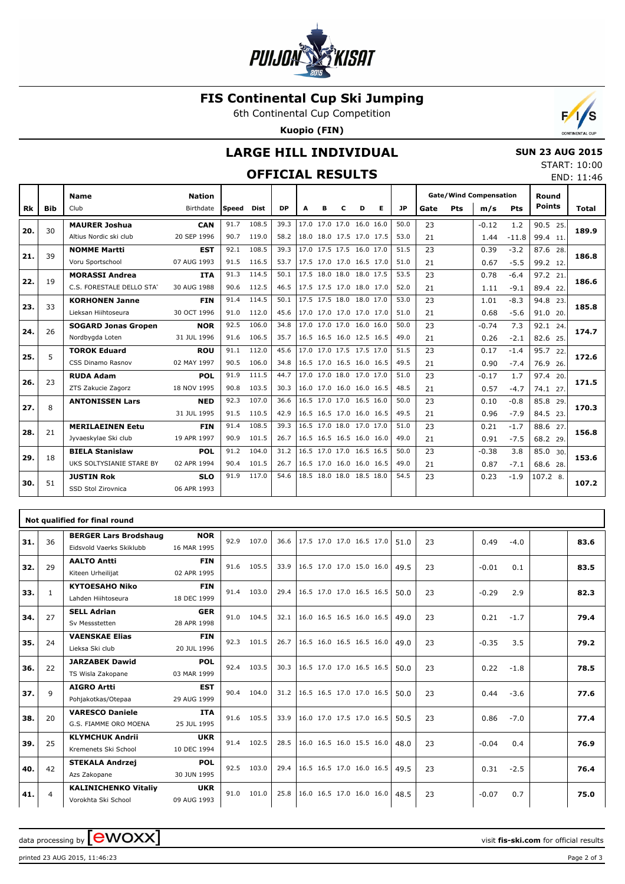

#### **FIS Continental Cup Ski Jumping**

6th Continental Cup Competition

**Kuopio (FIN)**



### **LARGE HILL INDIVIDUAL**

# **OFFICIAL RESULTS**

|  | <b>SUN 23 AUG 2015</b> |
|--|------------------------|
|  | $CTADT+10.00$          |

| START: 10:00 |            |
|--------------|------------|
|              | END: 11:46 |

|     |            | <b>Name</b>                | <b>Nation</b> |              |             |           |   |   |   |                          |   |           |      |     | <b>Gate/Wind Compensation</b> |         | Round         |       |
|-----|------------|----------------------------|---------------|--------------|-------------|-----------|---|---|---|--------------------------|---|-----------|------|-----|-------------------------------|---------|---------------|-------|
| Rk  | <b>Bib</b> | Club                       | Birthdate     | <b>Speed</b> | <b>Dist</b> | <b>DP</b> | A | в | c | D                        | Е | <b>JP</b> | Gate | Pts | m/s                           | Pts     | <b>Points</b> | Total |
|     | 30         | <b>MAURER Joshua</b>       | <b>CAN</b>    | 91.7         | 108.5       | 39.3      |   |   |   | 17.0 17.0 17.0 16.0 16.0 |   | 50.0      | 23   |     | $-0.12$                       | 1.2     | 90.5 25.      | 189.9 |
| 20. |            | Altius Nordic ski club     | 20 SEP 1996   | 90.7         | 119.0       | 58.2      |   |   |   | 18.0 18.0 17.5 17.0 17.5 |   | 53.0      | 21   |     | 1.44                          | $-11.8$ | 99.4 11.      |       |
| 21. | 39         | <b>NOMME Martti</b>        | <b>EST</b>    | 92.1         | 108.5       | 39.3      |   |   |   | 17.0 17.5 17.5 16.0 17.0 |   | 51.5      | 23   |     | 0.39                          | $-3.2$  | 87.6 28.      | 186.8 |
|     |            | Voru Sportschool           | 07 AUG 1993   | 91.5         | 116.5       | 53.7      |   |   |   | 17.5 17.0 17.0 16.5 17.0 |   | 51.0      | 21   |     | 0.67                          | $-5.5$  | 99.2 12.      |       |
| 22. | 19         | <b>MORASSI Andrea</b>      | <b>ITA</b>    | 91.3         | 114.5       | 50.1      |   |   |   | 17.5 18.0 18.0 18.0 17.5 |   | 53.5      | 23   |     | 0.78                          | $-6.4$  | 97.2 21.      | 186.6 |
|     |            | C.S. FORESTALE DELLO STAT  | 30 AUG 1988   | 90.6         | 112.5       | 46.5      |   |   |   | 17.5 17.5 17.0 18.0 17.0 |   | 52.0      | 21   |     | 1.11                          | $-9.1$  | 89.4 22.      |       |
| 23. | 33         | <b>KORHONEN Janne</b>      | <b>FIN</b>    | 91.4         | 114.5       | 50.1      |   |   |   | 17.5 17.5 18.0 18.0 17.0 |   | 53.0      | 23   |     | 1.01                          | $-8.3$  | 94.8 23.      | 185.8 |
|     |            | Lieksan Hiihtoseura        | 30 OCT 1996   | 91.0         | 112.0       | 45.6      |   |   |   | 17.0 17.0 17.0 17.0 17.0 |   | 51.0      | 21   |     | 0.68                          | $-5.6$  | 91.0 20.      |       |
| 24. | 26         | <b>SOGARD Jonas Gropen</b> | <b>NOR</b>    | 92.5         | 106.0       | 34.8      |   |   |   | 17.0 17.0 17.0 16.0 16.0 |   | 50.0      | 23   |     | $-0.74$                       | 7.3     | 92.1 24.      | 174.7 |
|     |            | Nordbygda Loten            | 31 JUL 1996   | 91.6         | 106.5       | 35.7      |   |   |   | 16.5 16.5 16.0 12.5 16.5 |   | 49.0      | 21   |     | 0.26                          | $-2.1$  | 82.6 25.      |       |
| 25. | 5          | <b>TOROK Eduard</b>        | <b>ROU</b>    | 91.1         | 112.0       | 45.6      |   |   |   | 17.0 17.0 17.5 17.5 17.0 |   | 51.5      | 23   |     | 0.17                          | $-1.4$  | 95.7 22.      | 172.6 |
|     |            | CSS Dinamo Rasnov          | 02 MAY 1997   | 90.5         | 106.0       | 34.8      |   |   |   | 16.5 17.0 16.5 16.0 16.5 |   | 49.5      | 21   |     | 0.90                          | $-7.4$  | 76.9 26.      |       |
| 26. | 23         | <b>RUDA Adam</b>           | <b>POL</b>    | 91.9         | 111.5       | 44.7      |   |   |   | 17.0 17.0 18.0 17.0 17.0 |   | 51.0      | 23   |     | $-0.17$                       | 1.7     | 97.4 20.      | 171.5 |
|     |            | ZTS Zakucie Zagorz         | 18 NOV 1995   | 90.8         | 103.5       | 30.3      |   |   |   | 16.0 17.0 16.0 16.0 16.5 |   | 48.5      | 21   |     | 0.57                          | $-4.7$  | 74.1 27.      |       |
| 27. | 8          | <b>ANTONISSEN Lars</b>     | <b>NED</b>    | 92.3         | 107.0       | 36.6      |   |   |   | 16.5 17.0 17.0 16.5 16.0 |   | 50.0      | 23   |     | 0.10                          | $-0.8$  | 85.8 29.      | 170.3 |
|     |            |                            | 31 JUL 1995   | 91.5         | 110.5       | 42.9      |   |   |   | 16.5 16.5 17.0 16.0 16.5 |   | 49.5      | 21   |     | 0.96                          | $-7.9$  | 84.5 23.      |       |
| 28. | 21         | <b>MERILAEINEN Eetu</b>    | <b>FIN</b>    | 91.4         | 108.5       | 39.3      |   |   |   | 16.5 17.0 18.0 17.0 17.0 |   | 51.0      | 23   |     | 0.21                          | $-1.7$  | 88.6 27.      | 156.8 |
|     |            | Jyvaeskylae Ski club       | 19 APR 1997   | 90.9         | 101.5       | 26.7      |   |   |   | 16.5 16.5 16.5 16.0 16.0 |   | 49.0      | 21   |     | 0.91                          | $-7.5$  | 68.2 29.      |       |
| 29. | 18         | <b>BIELA Stanislaw</b>     | <b>POL</b>    | 91.2         | 104.0       | 31.2      |   |   |   | 16.5 17.0 17.0 16.5 16.5 |   | 50.0      | 23   |     | $-0.38$                       | 3.8     | 85.0 30.      | 153.6 |
|     |            | UKS SOLTYSIANIE STARE BY   | 02 APR 1994   | 90.4         | 101.5       | 26.7      |   |   |   | 16.5 17.0 16.0 16.0 16.5 |   | 49.0      | 21   |     | 0.87                          | $-7.1$  | 68.6 28.      |       |
| 30. | 51         | <b>JUSTIN Rok</b>          | <b>SLO</b>    | 91.9         | 117.0       | 54.6      |   |   |   | 18.5 18.0 18.0 18.5 18.0 |   | 54.5      | 23   |     | 0.23                          | $-1.9$  | 107.2 8.      | 107.2 |
|     |            | SSD Stol Zirovnica         | 06 APR 1993   |              |             |           |   |   |   |                          |   |           |      |     |                               |         |               |       |
|     |            |                            |               |              |             |           |   |   |   |                          |   |           |      |     |                               |         |               |       |

|     |              | Not qualified for final round                            |                           |      |       |      |                          |  |      |    |         |        |      |
|-----|--------------|----------------------------------------------------------|---------------------------|------|-------|------|--------------------------|--|------|----|---------|--------|------|
| 31. | 36           | <b>BERGER Lars Brodshaug</b><br>Eidsvold Vaerks Skiklubb | <b>NOR</b><br>16 MAR 1995 | 92.9 | 107.0 | 36.6 | 17.5 17.0 17.0 16.5 17.0 |  | 51.0 | 23 | 0.49    | $-4.0$ | 83.6 |
| 32. | 29           | <b>AALTO Antti</b><br>Kiteen Urheilijat                  | <b>FIN</b><br>02 APR 1995 | 91.6 | 105.5 | 33.9 | 16.5 17.0 17.0 15.0 16.0 |  | 49.5 | 23 | $-0.01$ | 0.1    | 83.5 |
| 33. | $\mathbf{1}$ | <b>KYTOESAHO Niko</b><br>Lahden Hiihtoseura              | <b>FIN</b><br>18 DEC 1999 | 91.4 | 103.0 | 29.4 | 16.5 17.0 17.0 16.5 16.5 |  | 50.0 | 23 | $-0.29$ | 2.9    | 82.3 |
| 34. | 27           | <b>SELL Adrian</b><br>Sv Messstetten                     | <b>GER</b><br>28 APR 1998 | 91.0 | 104.5 | 32.1 | 16.0 16.5 16.5 16.0 16.5 |  | 49.0 | 23 | 0.21    | $-1.7$ | 79.4 |
| 35. | 24           | <b>VAENSKAE Elias</b><br>Lieksa Ski club                 | <b>FIN</b><br>20 JUL 1996 | 92.3 | 101.5 | 26.7 | 16.5 16.0 16.5 16.5 16.0 |  | 49.0 | 23 | $-0.35$ | 3.5    | 79.2 |
| 36. | 22           | <b>JARZABEK Dawid</b><br>TS Wisla Zakopane               | <b>POL</b><br>03 MAR 1999 | 92.4 | 103.5 | 30.3 | 16.5 17.0 17.0 16.5 16.5 |  | 50.0 | 23 | 0.22    | $-1.8$ | 78.5 |
| 37. | 9            | <b>AIGRO Artti</b><br>Pohjakotkas/Otepaa                 | <b>EST</b><br>29 AUG 1999 | 90.4 | 104.0 | 31.2 | 16.5 16.5 17.0 17.0 16.5 |  | 50.0 | 23 | 0.44    | $-3.6$ | 77.6 |
| 38. | 20           | <b>VARESCO Daniele</b><br>G.S. FIAMME ORO MOENA          | <b>ITA</b><br>25 JUL 1995 | 91.6 | 105.5 | 33.9 | 16.0 17.0 17.5 17.0 16.5 |  | 50.5 | 23 | 0.86    | $-7.0$ | 77.4 |
| 39. | 25           | <b>KLYMCHUK Andrii</b><br>Kremenets Ski School           | <b>UKR</b><br>10 DEC 1994 | 91.4 | 102.5 | 28.5 | 16.0 16.5 16.0 15.5 16.0 |  | 48.0 | 23 | $-0.04$ | 0.4    | 76.9 |
| 40. | 42           | <b>STEKALA Andrzej</b><br>Azs Zakopane                   | <b>POL</b><br>30 JUN 1995 | 92.5 | 103.0 | 29.4 | 16.5 16.5 17.0 16.0 16.5 |  | 49.5 | 23 | 0.31    | $-2.5$ | 76.4 |
| 41. | 4            | <b>KALINICHENKO Vitaliy</b><br>Vorokhta Ski School       | <b>UKR</b><br>09 AUG 1993 | 91.0 | 101.0 | 25.8 | 16.0 16.5 17.0 16.0 16.0 |  | 48.5 | 23 | $-0.07$ | 0.7    | 75.0 |

data processing by **CWOXX**  $\blacksquare$